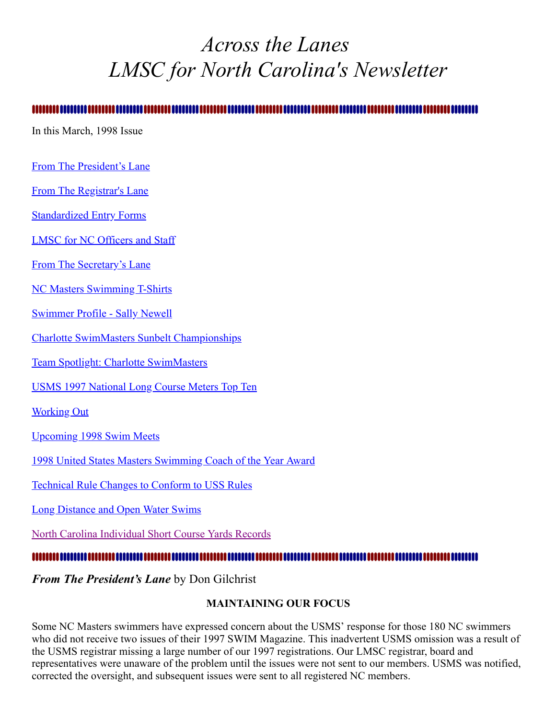# <span id="page-0-1"></span>*Across the Lanes LMSC for North Carolina's Newsletter*

#### .............................

In this March, 1998 Issue

- [From The President's Lane](#page-0-0)
- [From The Registrar's Lane](#page-2-0)
- [Standardized Entry Forms](#page-2-1)
- [LMSC for NC Officers and Staff](#page-2-2)
- [From The Secretary's Lane](#page-3-0)
- [NC Masters Swimming T-Shirts](#page-4-0)
- [Swimmer Profile Sally Newell](#page-5-0)
- [Charlotte SwimMasters Sunbelt Championships](#page-6-0)
- [Team Spotlight: Charlotte SwimMasters](#page-7-0)
- [USMS 1997 National Long Course Meters Top Ten](#page-7-1)
- Working Out
- [Upcoming 1998 Swim Meets](#page-9-0)
- [1998 United States Masters Swimming Coach of the Year Award](#page-9-1)
- [Technical Rule Changes to Conform to USS Rules](#page-10-0)
- [Long Distance and Open Water Swims](#page-10-1)
- [North Carolina Individual Short Course Yards Records](#page-11-0)

#### 

<span id="page-0-0"></span>*From The President's Lane* by Don Gilchrist

#### **MAINTAINING OUR FOCUS**

Some NC Masters swimmers have expressed concern about the USMS' response for those 180 NC swimmers who did not receive two issues of their 1997 SWIM Magazine. This inadvertent USMS omission was a result of the USMS registrar missing a large number of our 1997 registrations. Our LMSC registrar, board and representatives were unaware of the problem until the issues were not sent to our members. USMS was notified, corrected the oversight, and subsequent issues were sent to all registered NC members.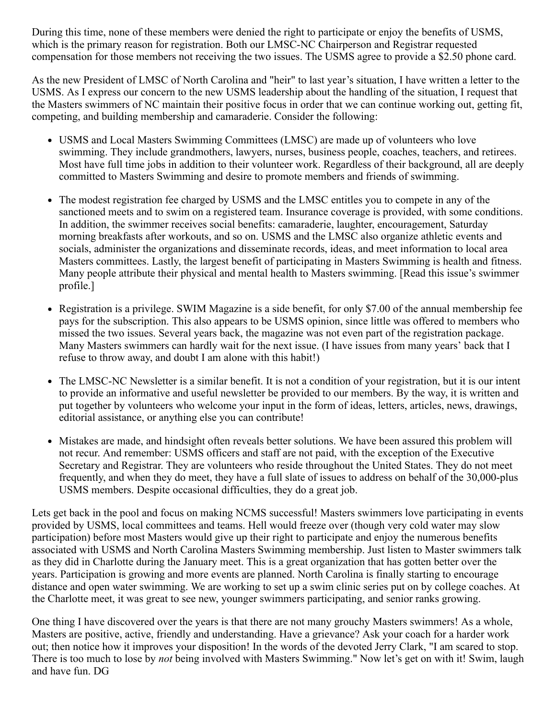During this time, none of these members were denied the right to participate or enjoy the benefits of USMS, which is the primary reason for registration. Both our LMSC-NC Chairperson and Registrar requested compensation for those members not receiving the two issues. The USMS agree to provide a \$2.50 phone card.

As the new President of LMSC of North Carolina and "heir" to last year's situation, I have written a letter to the USMS. As I express our concern to the new USMS leadership about the handling of the situation, I request that the Masters swimmers of NC maintain their positive focus in order that we can continue working out, getting fit, competing, and building membership and camaraderie. Consider the following:

- USMS and Local Masters Swimming Committees (LMSC) are made up of volunteers who love swimming. They include grandmothers, lawyers, nurses, business people, coaches, teachers, and retirees. Most have full time jobs in addition to their volunteer work. Regardless of their background, all are deeply committed to Masters Swimming and desire to promote members and friends of swimming.
- The modest registration fee charged by USMS and the LMSC entitles you to compete in any of the sanctioned meets and to swim on a registered team. Insurance coverage is provided, with some conditions. In addition, the swimmer receives social benefits: camaraderie, laughter, encouragement, Saturday morning breakfasts after workouts, and so on. USMS and the LMSC also organize athletic events and socials, administer the organizations and disseminate records, ideas, and meet information to local area Masters committees. Lastly, the largest benefit of participating in Masters Swimming is health and fitness. Many people attribute their physical and mental health to Masters swimming. [Read this issue's swimmer profile.]
- Registration is a privilege. SWIM Magazine is a side benefit, for only \$7.00 of the annual membership fee pays for the subscription. This also appears to be USMS opinion, since little was offered to members who missed the two issues. Several years back, the magazine was not even part of the registration package. Many Masters swimmers can hardly wait for the next issue. (I have issues from many years' back that I refuse to throw away, and doubt I am alone with this habit!)
- The LMSC-NC Newsletter is a similar benefit. It is not a condition of your registration, but it is our intent  $\bullet$ to provide an informative and useful newsletter be provided to our members. By the way, it is written and put together by volunteers who welcome your input in the form of ideas, letters, articles, news, drawings, editorial assistance, or anything else you can contribute!
- Mistakes are made, and hindsight often reveals better solutions. We have been assured this problem will not recur. And remember: USMS officers and staff are not paid, with the exception of the Executive Secretary and Registrar. They are volunteers who reside throughout the United States. They do not meet frequently, and when they do meet, they have a full slate of issues to address on behalf of the 30,000-plus USMS members. Despite occasional difficulties, they do a great job.

Lets get back in the pool and focus on making NCMS successful! Masters swimmers love participating in events provided by USMS, local committees and teams. Hell would freeze over (though very cold water may slow participation) before most Masters would give up their right to participate and enjoy the numerous benefits associated with USMS and North Carolina Masters Swimming membership. Just listen to Master swimmers talk as they did in Charlotte during the January meet. This is a great organization that has gotten better over the years. Participation is growing and more events are planned. North Carolina is finally starting to encourage distance and open water swimming. We are working to set up a swim clinic series put on by college coaches. At the Charlotte meet, it was great to see new, younger swimmers participating, and senior ranks growing.

One thing I have discovered over the years is that there are not many grouchy Masters swimmers! As a whole, Masters are positive, active, friendly and understanding. Have a grievance? Ask your coach for a harder work out; then notice how it improves your disposition! In the words of the devoted Jerry Clark, "I am scared to stop. There is too much to lose by *not* being involved with Masters Swimming." Now let's get on with it! Swim, laugh and have fun. DG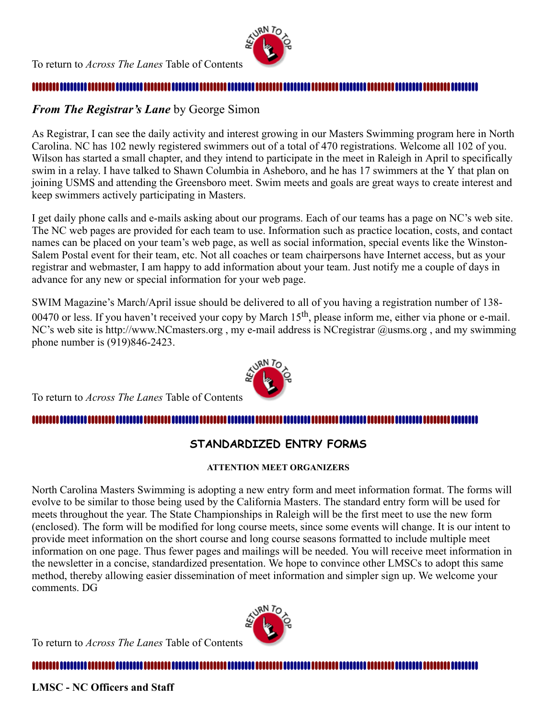

### <span id="page-2-0"></span>*From The Registrar's Lane* by George Simon

As Registrar, I can see the daily activity and interest growing in our Masters Swimming program here in North Carolina. NC has 102 newly registered swimmers out of a total of 470 registrations. Welcome all 102 of you. Wilson has started a small chapter, and they intend to participate in the meet in Raleigh in April to specifically swim in a relay. I have talked to Shawn Columbia in Asheboro, and he has 17 swimmers at the Y that plan on joining USMS and attending the Greensboro meet. Swim meets and goals are great ways to create interest and keep swimmers actively participating in Masters.

I get daily phone calls and e-mails asking about our programs. Each of our teams has a page on NC's web site. The NC web pages are provided for each team to use. Information such as practice location, costs, and contact names can be placed on your team's web page, as well as social information, special events like the Winston-Salem Postal event for their team, etc. Not all coaches or team chairpersons have Internet access, but as your registrar and webmaster, I am happy to add information about your team. Just notify me a couple of days in advance for any new or special information for your web page.

SWIM Magazine's March/April issue should be delivered to all of you having a registration number of 138- 00470 or less. If you haven't received your copy by March  $15<sup>th</sup>$ , please inform me, either via phone or e-mail. NC's web site is http://www.NCmasters.org, my e-mail address is NCregistrar @usms.org, and my swimming phone number is (919)846-2423.



To return to *Across The Lanes* Table of Contents

1111111111

## <span id="page-2-1"></span>**STANDARDIZED ENTRY FORMS**

#### **ATTENTION MEET ORGANIZERS**

North Carolina Masters Swimming is adopting a new entry form and meet information format. The forms will evolve to be similar to those being used by the California Masters. The standard entry form will be used for meets throughout the year. The State Championships in Raleigh will be the first meet to use the new form (enclosed). The form will be modified for long course meets, since some events will change. It is our intent to provide meet information on the short course and long course seasons formatted to include multiple meet information on one page. Thus fewer pages and mailings will be needed. You will receive meet information in the newsletter in a concise, standardized presentation. We hope to convince other LMSCs to adopt this same method, thereby allowing easier dissemination of meet information and simpler sign up. We welcome your comments. DG

To return to *Across The Lanes* Table of Contents



<span id="page-2-2"></span>**LMSC - NC Officers and Staff**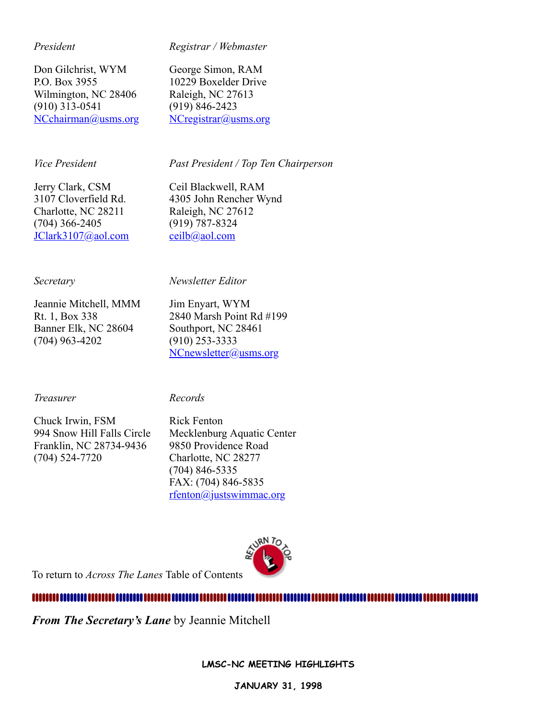#### *President*

*Registrar / Webmaster*

Don Gilchrist, WYM P.O. Box 3955 Wilmington, NC 28406 (910) 313-0541 [NCchairman@usms.org](mailto:NCchairman@usms.org) George Simon, RAM 10229 Boxelder Drive Raleigh, NC 27613 (919) 846-2423 [NCregistrar@usms.org](mailto:NCregistrar@usms.org)

#### *Vice President*

*Past President / Top Ten Chairperson*

Jerry Clark, CSM 3107 Cloverfield Rd. Charlotte, NC 28211 (704) 366-2405 [JClark3107@aol.com](mailto:JClark3107@aol.com) Ceil Blackwell, RAM 4305 John Rencher Wynd Raleigh, NC 27612 (919) 787-8324 [ceilb@aol.com](mailto:ceilb@aol.com)

#### *Secretary*

#### *Newsletter Editor*

Jeannie Mitchell, MMM Rt. 1, Box 338 Banner Elk, NC 28604 (704) 963-4202

Jim Enyart, WYM 2840 Marsh Point Rd #199 Southport, NC 28461 (910) 253-3333 [NCnewsletter@usms.org](mailto:NCnewsletter@usms.org)

#### *Treasurer*

*Records*

Chuck Irwin, FSM 994 Snow Hill Falls Circle Franklin, NC 28734-9436 (704) 524-7720

Rick Fenton Mecklenburg Aquatic Center 9850 Providence Road Charlotte, NC 28277 (704) 846-5335 FAX: (704) 846-5835 [rfenton@justswimmac.org](mailto:rfenton@justswimmac.org)



To return to *Across The Lanes* Table of Contents

<span id="page-3-0"></span>*From The Secretary's Lane* by Jeannie Mitchell

**LMSC-NC MEETING HIGHLIGHTS**

**JANUARY 31, 1998**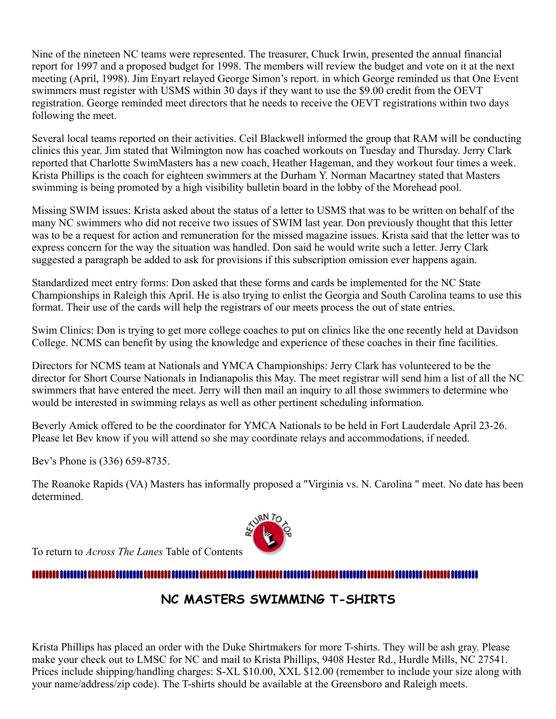Nine of the nineteen NC teams were represented. The treasurer, Chuck Irwin, presented the annual financial report for 1997 and a proposed budget for 1998. The members will review the budget and vote on it at the next meeting (April, 1998). Jim Enyart relayed George Simon's report. in which George reminded us that One Event swimmers must register with USMS within 30 days if they want to use the \$9.00 credit from the OEVT registration. George reminded meet directors that he needs to receive the OEVT registrations within two days following the meet.

Several local teams reported on their activities. Ceil Blackwell informed the group that RAM will be conducting clinics this year. Jim stated that Wilmington now has coached workouts on Tuesday and Thursday. Jerry Clark reported that Charlotte SwimMasters has a new coach, Heather Hageman, and they workout four times a week. Krista Phillips is the coach for eighteen swimmers at the Durham Y. Norman Macartney stated that Masters swimming is being promoted by a high visibility bulletin board in the lobby of the Morehead pool.

Missing SWIM issues: Krista asked about the status of a letter to USMS that was to be written on behalf of the many NC swimmers who did not receive two issues of SWIM last year. Don previously thought that this letter was to be a request for action and remuneration for the missed magazine issues. Krista said that the letter was to express concern for the way the situation was handled. Don said he would write such a letter. Jerry Clark suggested a paragraph be added to ask for provisions if this subscription omission ever happens again.

Standardized meet entry forms: Don asked that these forms and cards be implemented for the NC State Championships in Raleigh this April. He is also trying to enlist the Georgia and South Carolina teams to use this format. Their use of the cards will help the registrars of our meets process the out of state entries.

Swim Clinics: Don is trying to get more college coaches to put on clinics like the one recently held at Davidson College. NCMS can benefit by using the knowledge and experience of these coaches in their fine facilities.

Directors for NCMS team at Nationals and YMCA Championships: Jerry Clark has volunteered to be the director for Short Course Nationals in Indianapolis this May. The meet registrar will send him a list of all the NC swimmers that have entered the meet. Jerry will then mail an inquiry to all those swimmers to determine who would be interested in swimming relays as well as other pertinent scheduling information.

Beverly Amick offered to be the coordinator for YMCA Nationals to be held in Fort Lauderdale April 23-26. Please let Bev know if you will attend so she may coordinate relays and accommodations, if needed.

Bev's Phone is (336) 659-8735.

The Roanoke Rapids (VA) Masters has informally proposed a "Virginia vs. N. Carolina " meet. No date has been determined.



To return to *Across The Lanes* Table of Contents

#### ,,,,,,,,,,,,,,,,,,,,,,,,,,,,,,,

# <span id="page-4-0"></span>**NC MASTERS SWIMMING T-SHIRTS**

Krista Phillips has placed an order with the Duke Shirtmakers for more T-shirts. They will be ash gray. Please make your check out to LMSC for NC and mail to Krista Phillips, 9408 Hester Rd., Hurdle Mills, NC 27541. Prices include shipping/handling charges: S-XL \$10.00, XXL \$12.00 (remember to include your size along with your name/address/zip code). The T-shirts should be available at the Greensboro and Raleigh meets.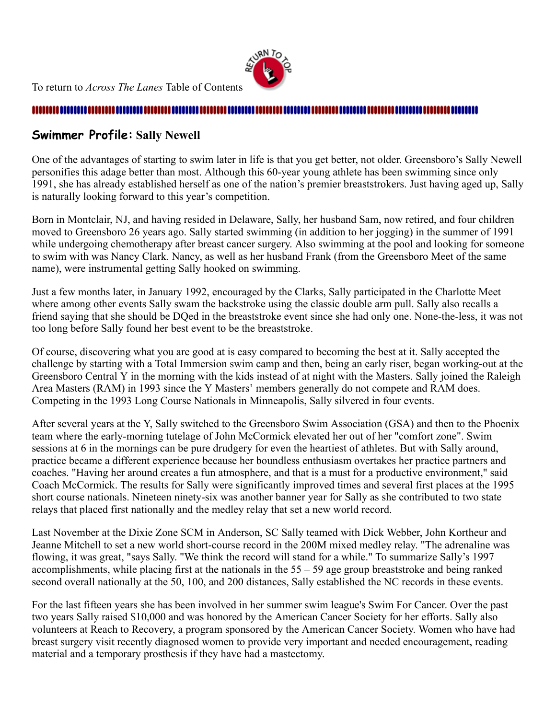To return to *Across The Lanes* Table of Contents



#### <span id="page-5-0"></span>**Swimmer Profile: Sally Newell**

One of the advantages of starting to swim later in life is that you get better, not older. Greensboro's Sally Newell personifies this adage better than most. Although this 60-year young athlete has been swimming since only 1991, she has already established herself as one of the nation's premier breaststrokers. Just having aged up, Sally is naturally looking forward to this year's competition.

Born in Montclair, NJ, and having resided in Delaware, Sally, her husband Sam, now retired, and four children moved to Greensboro 26 years ago. Sally started swimming (in addition to her jogging) in the summer of 1991 while undergoing chemotherapy after breast cancer surgery. Also swimming at the pool and looking for someone to swim with was Nancy Clark. Nancy, as well as her husband Frank (from the Greensboro Meet of the same name), were instrumental getting Sally hooked on swimming.

Just a few months later, in January 1992, encouraged by the Clarks, Sally participated in the Charlotte Meet where among other events Sally swam the backstroke using the classic double arm pull. Sally also recalls a friend saying that she should be DQed in the breaststroke event since she had only one. None-the-less, it was not too long before Sally found her best event to be the breaststroke.

Of course, discovering what you are good at is easy compared to becoming the best at it. Sally accepted the challenge by starting with a Total Immersion swim camp and then, being an early riser, began working-out at the Greensboro Central Y in the morning with the kids instead of at night with the Masters. Sally joined the Raleigh Area Masters (RAM) in 1993 since the Y Masters' members generally do not compete and RAM does. Competing in the 1993 Long Course Nationals in Minneapolis, Sally silvered in four events.

After several years at the Y, Sally switched to the Greensboro Swim Association (GSA) and then to the Phoenix team where the early-morning tutelage of John McCormick elevated her out of her "comfort zone". Swim sessions at 6 in the mornings can be pure drudgery for even the heartiest of athletes. But with Sally around, practice became a different experience because her boundless enthusiasm overtakes her practice partners and coaches. "Having her around creates a fun atmosphere, and that is a must for a productive environment," said Coach McCormick. The results for Sally were significantly improved times and several first places at the 1995 short course nationals. Nineteen ninety-six was another banner year for Sally as she contributed to two state relays that placed first nationally and the medley relay that set a new world record.

Last November at the Dixie Zone SCM in Anderson, SC Sally teamed with Dick Webber, John Kortheur and Jeanne Mitchell to set a new world short-course record in the 200M mixed medley relay. "The adrenaline was flowing, it was great, "says Sally. "We think the record will stand for a while." To summarize Sally's 1997 accomplishments, while placing first at the nationals in the 55 – 59 age group breaststroke and being ranked second overall nationally at the 50, 100, and 200 distances, Sally established the NC records in these events.

For the last fifteen years she has been involved in her summer swim league's Swim For Cancer. Over the past two years Sally raised \$10,000 and was honored by the American Cancer Society for her efforts. Sally also volunteers at Reach to Recovery, a program sponsored by the American Cancer Society. Women who have had breast surgery visit recently diagnosed women to provide very important and needed encouragement, reading material and a temporary prosthesis if they have had a mastectomy.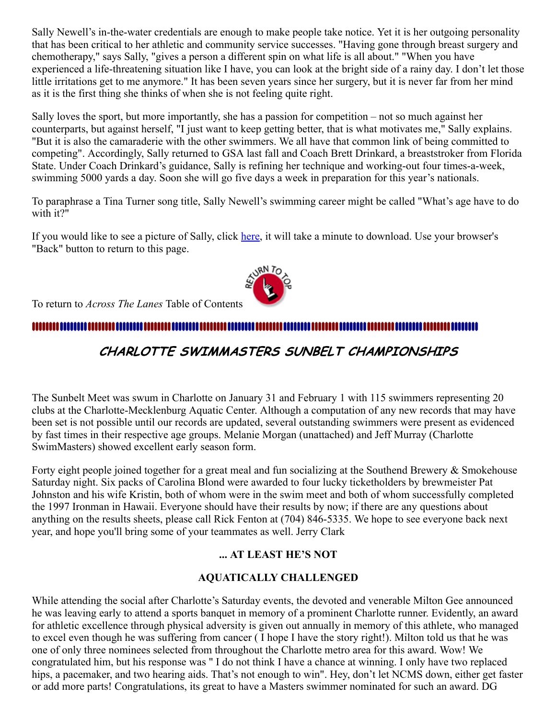Sally Newell's in-the-water credentials are enough to make people take notice. Yet it is her outgoing personality that has been critical to her athletic and community service successes. "Having gone through breast surgery and chemotherapy," says Sally, "gives a person a different spin on what life is all about." "When you have experienced a life-threatening situation like I have, you can look at the bright side of a rainy day. I don't let those little irritations get to me anymore." It has been seven years since her surgery, but it is never far from her mind as it is the first thing she thinks of when she is not feeling quite right.

Sally loves the sport, but more importantly, she has a passion for competition – not so much against her counterparts, but against herself, "I just want to keep getting better, that is what motivates me," Sally explains. "But it is also the camaraderie with the other swimmers. We all have that common link of being committed to competing". Accordingly, Sally returned to GSA last fall and Coach Brett Drinkard, a breaststroker from Florida State. Under Coach Drinkard's guidance, Sally is refining her technique and working-out four times-a-week, swimming 5000 yards a day. Soon she will go five days a week in preparation for this year's nationals.

To paraphrase a Tina Turner song title, Sally Newell's swimming career might be called "What's age have to do with it?"

If you would like to see a picture of Sally, click [here](http://ncmasters.org/sallyclr.jpg), it will take a minute to download. Use your browser's "Back" button to return to this page.

To return to *Across The Lanes* Table of Contents

## 

# <span id="page-6-0"></span>CHARLOTTE SWIMMASTERS SUNBELT CHAMPIONSHIPS

The Sunbelt Meet was swum in Charlotte on January 31 and February 1 with 115 swimmers representing 20 clubs at the Charlotte-Mecklenburg Aquatic Center. Although a computation of any new records that may have been set is not possible until our records are updated, several outstanding swimmers were present as evidenced by fast times in their respective age groups. Melanie Morgan (unattached) and Jeff Murray (Charlotte SwimMasters) showed excellent early season form.

Forty eight people joined together for a great meal and fun socializing at the Southend Brewery & Smokehouse Saturday night. Six packs of Carolina Blond were awarded to four lucky ticketholders by brewmeister Pat Johnston and his wife Kristin, both of whom were in the swim meet and both of whom successfully completed the 1997 Ironman in Hawaii. Everyone should have their results by now; if there are any questions about anything on the results sheets, please call Rick Fenton at (704) 846-5335. We hope to see everyone back next year, and hope you'll bring some of your teammates as well. Jerry Clark

#### **... AT LEAST HE'S NOT**

#### **AQUATICALLY CHALLENGED**

While attending the social after Charlotte's Saturday events, the devoted and venerable Milton Gee announced he was leaving early to attend a sports banquet in memory of a prominent Charlotte runner. Evidently, an award for athletic excellence through physical adversity is given out annually in memory of this athlete, who managed to excel even though he was suffering from cancer ( I hope I have the story right!). Milton told us that he was one of only three nominees selected from throughout the Charlotte metro area for this award. Wow! We congratulated him, but his response was " I do not think I have a chance at winning. I only have two replaced hips, a pacemaker, and two hearing aids. That's not enough to win". Hey, don't let NCMS down, either get faster or add more parts! Congratulations, its great to have a Masters swimmer nominated for such an award. DG

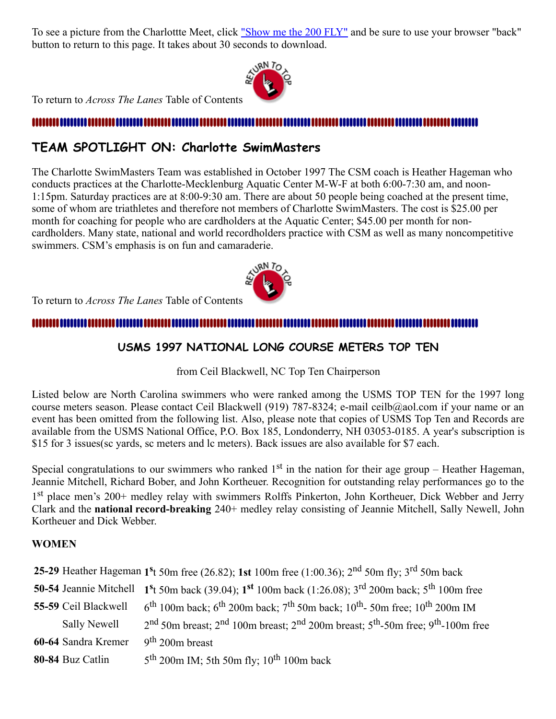To see a picture from the Charlottte Meet, click ["Show me the 200 FLY"](http://ncmasters.org/painclr.jpg) and be sure to use your browser "back" button to return to this page. It takes about 30 seconds to download.



To return to *Across The Lanes* Table of Contents

### <span id="page-7-0"></span>**TEAM SPOTLIGHT ON: Charlotte SwimMasters**

The Charlotte SwimMasters Team was established in October 1997 The CSM coach is Heather Hageman who conducts practices at the Charlotte-Mecklenburg Aquatic Center M-W-F at both 6:00-7:30 am, and noon-1:15pm. Saturday practices are at 8:00-9:30 am. There are about 50 people being coached at the present time, some of whom are triathletes and therefore not members of Charlotte SwimMasters. The cost is \$25.00 per month for coaching for people who are cardholders at the Aquatic Center; \$45.00 per month for noncardholders. Many state, national and world recordholders practice with CSM as well as many noncompetitive swimmers. CSM's emphasis is on fun and camaraderie.



To return to *Across The Lanes* Table of Contents

#### ,,,,,,,,,,,,,,,,,,,,,,,,

#### <span id="page-7-1"></span>**USMS 1997 NATIONAL LONG COURSE METERS TOP TEN**

from Ceil Blackwell, NC Top Ten Chairperson

Listed below are North Carolina swimmers who were ranked among the USMS TOP TEN for the 1997 long course meters season. Please contact Ceil Blackwell (919) 787-8324; e-mail ceilb@aol.com if your name or an event has been omitted from the following list. Also, please note that copies of USMS Top Ten and Records are available from the USMS National Office, P.O. Box 185, Londonderry, NH 03053-0185. A year's subscription is \$15 for 3 issues(sc yards, sc meters and lc meters). Back issues are also available for \$7 each.

Special congratulations to our swimmers who ranked  $1<sup>st</sup>$  in the nation for their age group – Heather Hageman, Jeannie Mitchell, Richard Bober, and John Kortheuer. Recognition for outstanding relay performances go to the 1<sup>st</sup> place men's 200+ medley relay with swimmers Rolffs Pinkerton, John Kortheuer, Dick Webber and Jerry Clark and the **national record-breaking** 240+ medley relay consisting of Jeannie Mitchell, Sally Newell, John Kortheuer and Dick Webber.

#### **WOMEN**

**25-29** Heather Hageman 1<sup>s</sup>t 50m free (26.82); 1st 100m free (1:00.36); 2<sup>nd</sup> 50m fly; 3<sup>rd</sup> 50m back

|  |  |  | 50-54 Jeannie Mitchell 1 <sup>s</sup> t 50m back (39.04); 1 <sup>st</sup> 100m back (1:26.08); 3 <sup>rd</sup> 200m back; 5 <sup>th</sup> 100m free |
|--|--|--|-----------------------------------------------------------------------------------------------------------------------------------------------------|
|--|--|--|-----------------------------------------------------------------------------------------------------------------------------------------------------|

- **55-59** Ceil Blackwell 6 <sup>th</sup> 100m back; 6<sup>th</sup> 200m back; 7<sup>th</sup> 50m back; 10<sup>th</sup>-50m free; 10<sup>th</sup> 200m IM
	- Sally Newell 2 <sup>nd</sup> 50m breast; 2<sup>nd</sup> 100m breast; 2<sup>nd</sup> 200m breast; 5<sup>th</sup>-50m free; 9<sup>th</sup>-100m free
- **60-64** Sandra Kremer th 200m breast
- **80-84** Buz Catlin 5 <sup>th</sup> 200m IM; 5th 50m fly;  $10^{th}$  100m back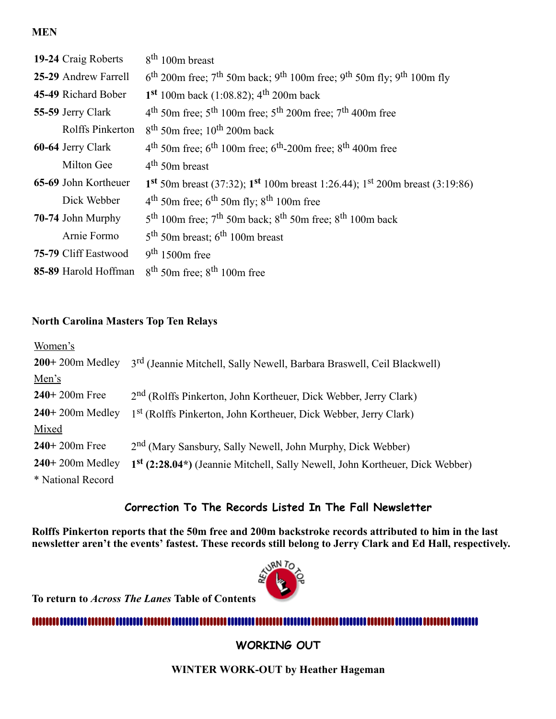#### **MEN**

| 19-24 Craig Roberts  | $8th 100m$ breast                                                                                                                 |
|----------------------|-----------------------------------------------------------------------------------------------------------------------------------|
| 25-29 Andrew Farrell | $6^{\text{th}}$ 200m free; $7^{\text{th}}$ 50m back; 9 <sup>th</sup> 100m free; 9 <sup>th</sup> 50m fly; 9 <sup>th</sup> 100m fly |
| 45-49 Richard Bober  | $1st 100m$ back (1:08.82); 4 <sup>th</sup> 200m back                                                                              |
| 55-59 Jerry Clark    | $4th$ 50m free; $5th$ 100m free; $5th$ 200m free; $7th$ 400m free                                                                 |
| Rolffs Pinkerton     | $8th$ 50m free; 10 <sup>th</sup> 200m back                                                                                        |
| 60-64 Jerry Clark    | $4th$ 50m free; 6 <sup>th</sup> 100m free; 6 <sup>th</sup> -200m free; 8 <sup>th</sup> 400m free                                  |
| Milton Gee           | $4th$ 50m breast                                                                                                                  |
| 65-69 John Kortheuer | 1 <sup>st</sup> 50m breast (37:32); 1 <sup>st</sup> 100m breast 1:26.44); 1 <sup>st</sup> 200m breast (3:19:86)                   |
| Dick Webber          | $4th$ 50m free; 6 <sup>th</sup> 50m fly; 8 <sup>th</sup> 100m free                                                                |
| 70-74 John Murphy    | $5th$ 100m free; $7th$ 50m back; $8th$ 50m free; $8th$ 100m back                                                                  |
| Arnie Formo          | $5th$ 50m breast; 6 <sup>th</sup> 100m breast                                                                                     |
| 75-79 Cliff Eastwood | $9th 1500m$ free                                                                                                                  |
| 85-89 Harold Hoffman | $8th$ 50m free; $8th$ 100m free                                                                                                   |

#### **North Carolina Masters Top Ten Relays**

| 3 <sup>rd</sup> (Jeannie Mitchell, Sally Newell, Barbara Braswell, Ceil Blackwell)                    |
|-------------------------------------------------------------------------------------------------------|
|                                                                                                       |
| 2 <sup>nd</sup> (Rolffs Pinkerton, John Kortheuer, Dick Webber, Jerry Clark)                          |
| 1 <sup>st</sup> (Rolffs Pinkerton, John Kortheuer, Dick Webber, Jerry Clark)                          |
|                                                                                                       |
| 2 <sup>nd</sup> (Mary Sansbury, Sally Newell, John Murphy, Dick Webber)                               |
| 1 <sup>st</sup> (2:28.04 <sup>*</sup> ) (Jeannie Mitchell, Sally Newell, John Kortheuer, Dick Webber) |
|                                                                                                       |
|                                                                                                       |

#### **Correction To The Records Listed In The Fall Newsletter**

**Rolffs Pinkerton reports that the 50m free and 200m backstroke records attributed to him in the last newsletter aren't the events' fastest. These records still belong to Jerry Clark and Ed Hall, respectively.**



**To return to** *Across The Lanes* **Table of Contents** 

#### **WORKING OUT**

**WINTER WORK-OUT by Heather Hageman**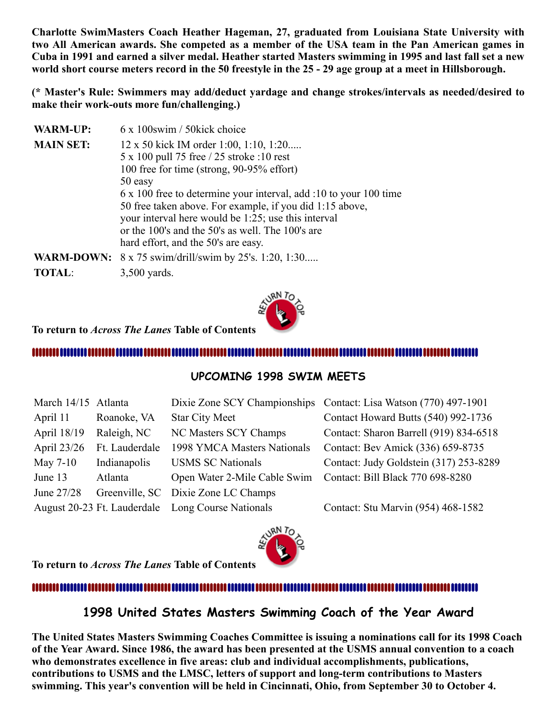**Charlotte SwimMasters Coach Heather Hageman, 27, graduated from Louisiana State University with two All American awards. She competed as a member of the USA team in the Pan American games in Cuba in 1991 and earned a silver medal. Heather started Masters swimming in 1995 and last fall set a new world short course meters record in the 50 freestyle in the 25 - 29 age group at a meet in Hillsborough.**

**(\* Master's Rule: Swimmers may add/deduct yardage and change strokes/intervals as needed/desired to make their work-outs more fun/challenging.)**

| <b>WARM-UP:</b>  | 6 x 100swim / 50kick choice                                         |
|------------------|---------------------------------------------------------------------|
| <b>MAIN SET:</b> | 12 x 50 kick IM order 1:00, 1:10, 1:20                              |
|                  | 5 x 100 pull 75 free / 25 stroke :10 rest                           |
|                  | 100 free for time (strong, 90-95% effort)                           |
|                  | 50 easy                                                             |
|                  | 6 x 100 free to determine your interval, add :10 to your 100 time   |
|                  | 50 free taken above. For example, if you did 1:15 above,            |
|                  | your interval here would be 1:25; use this interval                 |
|                  | or the 100's and the 50's as well. The 100's are                    |
|                  | hard effort, and the 50's are easy.                                 |
|                  | <b>WARM-DOWN:</b> $8 \times 75$ swim/drill/swim by 25's. 1:20, 1:30 |
| <b>TOTAL:</b>    | $3,500$ yards.                                                      |



**To return to** *Across The Lanes* **Table of Contents** 

#### 

#### <span id="page-9-0"></span>**UPCOMING 1998 SWIM MEETS**

| March 14/15 Atlanta |                             |                                     | Dixie Zone SCY Championships Contact: Lisa Watson (770) 497-1901 |
|---------------------|-----------------------------|-------------------------------------|------------------------------------------------------------------|
| April 11            | Roanoke, VA                 | <b>Star City Meet</b>               | Contact Howard Butts (540) 992-1736                              |
| April 18/19         | Raleigh, NC                 | NC Masters SCY Champs               | Contact: Sharon Barrell (919) 834-6518                           |
| April 23/26         | Ft. Lauderdale              | 1998 YMCA Masters Nationals         | Contact: Bev Amick (336) 659-8735                                |
| May 7-10            | Indianapolis                | <b>USMS SC Nationals</b>            | Contact: Judy Goldstein (317) 253-8289                           |
| June 13             | Atlanta                     | Open Water 2-Mile Cable Swim        | Contact: Bill Black 770 698-8280                                 |
| June 27/28          |                             | Greenville, SC Dixie Zone LC Champs |                                                                  |
|                     | August 20-23 Ft. Lauderdale | Long Course Nationals               | Contact: Stu Marvin (954) 468-1582                               |



**To return to** *Across The Lanes* **Table of Contents** 

#### 

#### <span id="page-9-1"></span>**1998 United States Masters Swimming Coach of the Year Award**

**The United States Masters Swimming Coaches Committee is issuing a nominations call for its 1998 Coach of the Year Award. Since 1986, the award has been presented at the USMS annual convention to a coach who demonstrates excellence in five areas: club and individual accomplishments, publications, contributions to USMS and the LMSC, letters of support and long-term contributions to Masters swimming. This year's convention will be held in Cincinnati, Ohio, from September 30 to October 4.**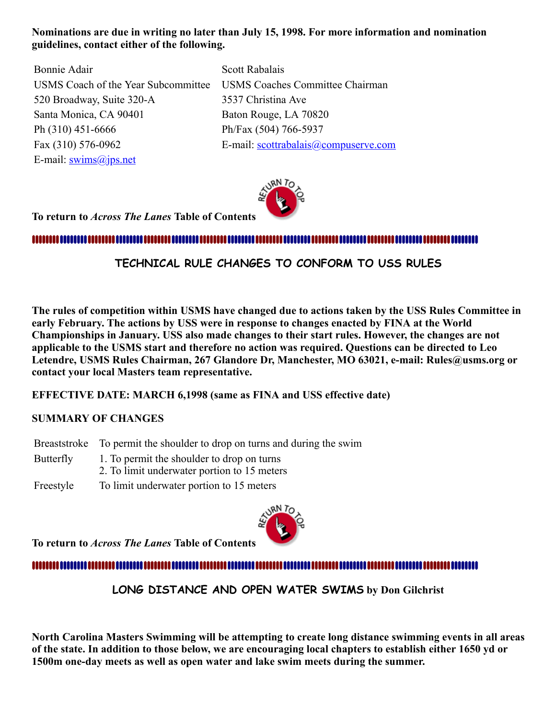#### **Nominations are due in writing no later than July 15, 1998. For more information and nomination guidelines, contact either of the following.**

Bonnie Adair Scott Rabalais 520 Broadway, Suite 320-A 3537 Christina Ave Santa Monica, CA 90401 Baton Rouge, LA 70820 Ph (310) 451-6666 Ph/Fax (504) 766-5937 E-mail: [swims@jps.net](mailto:swims@jps.net)

USMS Coach of the Year Subcommittee USMS Coaches Committee Chairman Fax (310) 576-0962 E-mail: [scottrabalais@compuserve.com](mailto:scottrabalais@compuserve.com)



**To return to** *Across The Lanes* **Table of Contents** 

,,,,,,,,,,,,,,,,,,,,,,,,,

#### <span id="page-10-0"></span>**TECHNICAL RULE CHANGES TO CONFORM TO USS RULES**

**The rules of competition within USMS have changed due to actions taken by the USS Rules Committee in early February. The actions by USS were in response to changes enacted by FINA at the World Championships in January. USS also made changes to their start rules. However, the changes are not applicable to the USMS start and therefore no action was required. Questions can be directed to Leo Letendre, USMS Rules Chairman, 267 Glandore Dr, Manchester, MO 63021, e-mail: Rules@usms.org or contact your local Masters team representative.**

**EFFECTIVE DATE: MARCH 6,1998 (same as FINA and USS effective date)**

#### **SUMMARY OF CHANGES**

- Breaststroke To permit the shoulder to drop on turns and during the swim
- Butterfly 1. To permit the shoulder to drop on turns
	- 2. To limit underwater portion to 15 meters
- Freestyle To limit underwater portion to 15 meters



**To return to** *Across The Lanes* **Table of Contents** 

## ,,,,,,,,,,,,,,,,,,,,,,,,

<span id="page-10-1"></span>**LONG DISTANCE AND OPEN WATER SWIMS by Don Gilchrist**

**North Carolina Masters Swimming will be attempting to create long distance swimming events in all areas of the state. In addition to those below, we are encouraging local chapters to establish either 1650 yd or 1500m one-day meets as well as open water and lake swim meets during the summer.**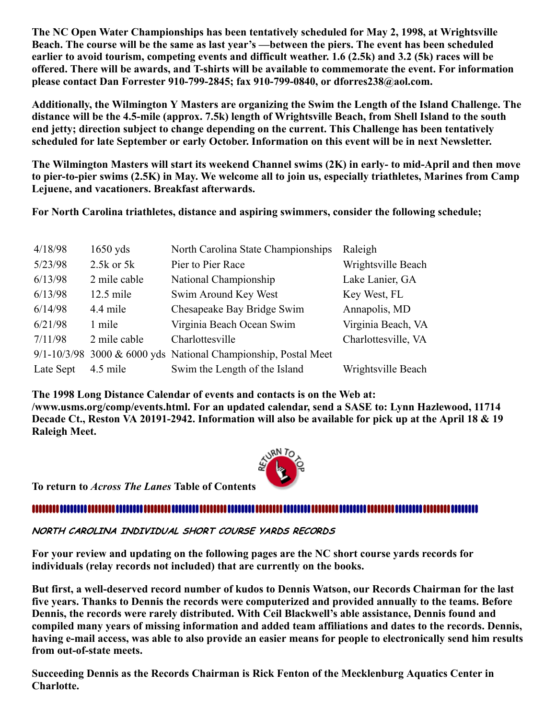**The NC Open Water Championships has been tentatively scheduled for May 2, 1998, at Wrightsville Beach. The course will be the same as last year's —between the piers. The event has been scheduled earlier to avoid tourism, competing events and difficult weather. 1.6 (2.5k) and 3.2 (5k) races will be offered. There will be awards, and T-shirts will be available to commemorate the event. For information please contact Dan Forrester 910-799-2845; fax 910-799-0840, or dforres238@aol.com.**

**Additionally, the Wilmington Y Masters are organizing the Swim the Length of the Island Challenge. The distance will be the 4.5-mile (approx. 7.5k) length of Wrightsville Beach, from Shell Island to the south end jetty; direction subject to change depending on the current. This Challenge has been tentatively scheduled for late September or early October. Information on this event will be in next Newsletter.**

**The Wilmington Masters will start its weekend Channel swims (2K) in early- to mid-April and then move to pier-to-pier swims (2.5K) in May. We welcome all to join us, especially triathletes, Marines from Camp Lejuene, and vacationers. Breakfast afterwards.**

**For North Carolina triathletes, distance and aspiring swimmers, consider the following schedule;**

| 4/18/98   | $1650$ yds     | North Carolina State Championships                                 | Raleigh             |
|-----------|----------------|--------------------------------------------------------------------|---------------------|
| 5/23/98   | $2.5k$ or $5k$ | Pier to Pier Race                                                  | Wrightsville Beach  |
| 6/13/98   | 2 mile cable   | National Championship                                              | Lake Lanier, GA     |
| 6/13/98   | $12.5$ mile    | Swim Around Key West                                               | Key West, FL        |
| 6/14/98   | 4.4 mile       | Chesapeake Bay Bridge Swim                                         | Annapolis, MD       |
| 6/21/98   | 1 mile         | Virginia Beach Ocean Swim                                          | Virginia Beach, VA  |
| 7/11/98   | 2 mile cable   | Charlottesville                                                    | Charlottesville, VA |
|           |                | $9/1 - 10/3/98$ 3000 & 6000 yds National Championship, Postal Meet |                     |
| Late Sept | 4.5 mile       | Swim the Length of the Island                                      | Wrightsville Beach  |

**The 1998 Long Distance Calendar of events and contacts is on the Web at: /www.usms.org/comp/events.html. For an updated calendar, send a SASE to: Lynn Hazlewood, 11714 Decade Ct., Reston VA 20191-2942. Information will also be available for pick up at the April 18 & 19 Raleigh Meet.**



**To return to** *Across The Lanes* **Table of Contents** 

#### 

<span id="page-11-0"></span>NORTH CAROLINA INDIVIDUAL SHORT COURSE YARDS RECORDS

**For your review and updating on the following pages are the NC short course yards records for individuals (relay records not included) that are currently on the books.**

**But first, a well-deserved record number of kudos to Dennis Watson, our Records Chairman for the last five years. Thanks to Dennis the records were computerized and provided annually to the teams. Before Dennis, the records were rarely distributed. With Ceil Blackwell's able assistance, Dennis found and compiled many years of missing information and added team affiliations and dates to the records. Dennis, having e-mail access, was able to also provide an easier means for people to electronically send him results from out-of-state meets.**

**Succeeding Dennis as the Records Chairman is Rick Fenton of the Mecklenburg Aquatics Center in Charlotte.**